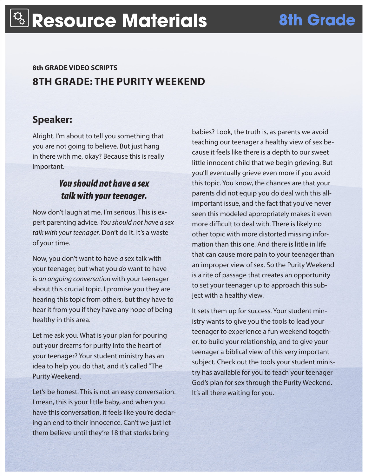# **8th GRADE VIDEO SCRIPTS 8TH GRADE: THE PURITY WEEKEND**

# **Speaker:**

Alright. I'm about to tell you something that you are not going to believe. But just hang in there with me, okay? Because this is really important.

### *You should not have a sex talk with your teenager.*

Now don't laugh at me. I'm serious. This is expert parenting advice. *You should not have a sex talk with your teenager.* Don't do it. It's a waste of your time.

Now, you don't want to have *a* sex talk with your teenager, but what you *do* want to have is *an ongoing conversation* with your teenager about this crucial topic. I promise you they are hearing this topic from others, but they have to hear it from you if they have any hope of being healthy in this area.

Let me ask you. What is your plan for pouring out your dreams for purity into the heart of your teenager? Your student ministry has an idea to help you do that, and it's called "The Purity Weekend.

Let's be honest. This is not an easy conversation. I mean, this is your little baby, and when you have this conversation, it feels like you're declaring an end to their innocence. Can't we just let them believe until they're 18 that storks bring

babies? Look, the truth is, as parents we avoid teaching our teenager a healthy view of sex because it feels like there is a depth to our sweet little innocent child that we begin grieving. But you'll eventually grieve even more if you avoid this topic. You know, the chances are that your parents did not equip you do deal with this allimportant issue, and the fact that you've never seen this modeled appropriately makes it even more difficult to deal with. There is likely no other topic with more distorted missing information than this one. And there is little in life that can cause more pain to your teenager than an improper view of sex. So the Purity Weekend is a rite of passage that creates an opportunity to set your teenager up to approach this subject with a healthy view.

It sets them up for success. Your student ministry wants to give you the tools to lead your teenager to experience a fun weekend together, to build your relationship, and to give your teenager a biblical view of this very important subject. Check out the tools your student ministry has available for you to teach your teenager God's plan for sex through the Purity Weekend. It's all there waiting for you.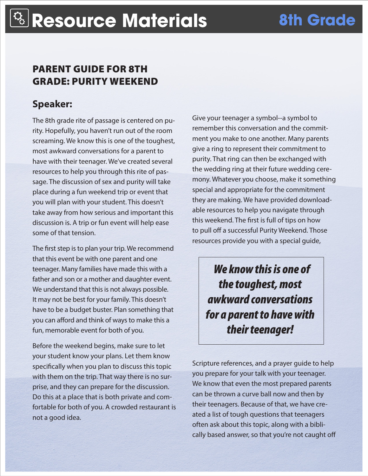# PARENT GUIDE FOR 8TH GRADE: PURITY WEEKEND

# **Speaker:**

The 8th grade rite of passage is centered on purity. Hopefully, you haven't run out of the room screaming. We know this is one of the toughest, most awkward conversations for a parent to have with their teenager. We've created several resources to help you through this rite of passage. The discussion of sex and purity will take place during a fun weekend trip or event that you will plan with your student. This doesn't take away from how serious and important this discussion is. A trip or fun event will help ease some of that tension.

The first step is to plan your trip. We recommend that this event be with one parent and one teenager. Many families have made this with a father and son or a mother and daughter event. We understand that this is not always possible. It may not be best for your family. This doesn't have to be a budget buster. Plan something that you can afford and think of ways to make this a fun, memorable event for both of you.

Before the weekend begins, make sure to let your student know your plans. Let them know specifically when you plan to discuss this topic with them on the trip. That way there is no surprise, and they can prepare for the discussion. Do this at a place that is both private and comfortable for both of you. A crowded restaurant is not a good idea.

Give your teenager a symbol--a symbol to remember this conversation and the commitment you make to one another. Many parents give a ring to represent their commitment to purity. That ring can then be exchanged with the wedding ring at their future wedding ceremony. Whatever you choose, make it something special and appropriate for the commitment they are making. We have provided downloadable resources to help you navigate through this weekend. The first is full of tips on how to pull off a successful Purity Weekend. Those resources provide you with a special guide,

 *We know this is one of the toughest, most awkward conversations for a parent to have with their teenager!*

Scripture references, and a prayer guide to help you prepare for your talk with your teenager. We know that even the most prepared parents can be thrown a curve ball now and then by their teenagers. Because of that, we have created a list of tough questions that teenagers often ask about this topic, along with a biblically based answer, so that you're not caught off